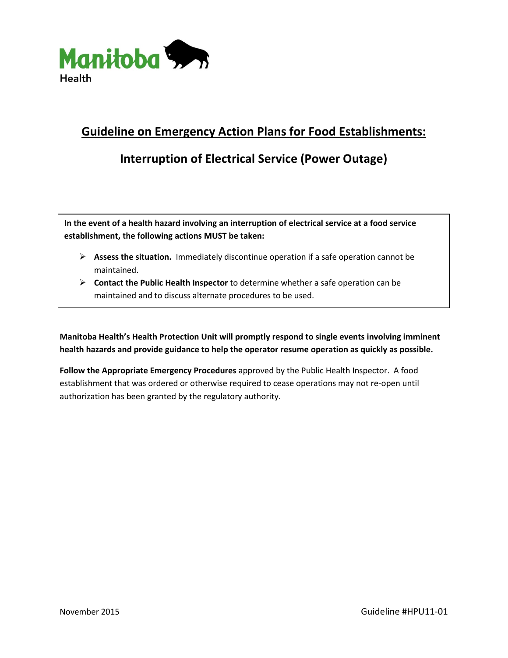

## **Guideline on Emergency Action Plans for Food Establishments:**

## **Interruption of Electrical Service (Power Outage)**

**In the event of a health hazard involving an interruption of electrical service at a food service establishment, the following actions MUST be taken:**

- **Assess the situation.** Immediately discontinue operation if a safe operation cannot be maintained.
- **Contact the Public Health Inspector** to determine whether a safe operation can be maintained and to discuss alternate procedures to be used.

**Manitoba Health's Health Protection Unit will promptly respond to single events involving imminent health hazards and provide guidance to help the operator resume operation as quickly as possible.** 

**Follow the Appropriate Emergency Procedures** approved by the Public Health Inspector. A food establishment that was ordered or otherwise required to cease operations may not re-open until authorization has been granted by the regulatory authority.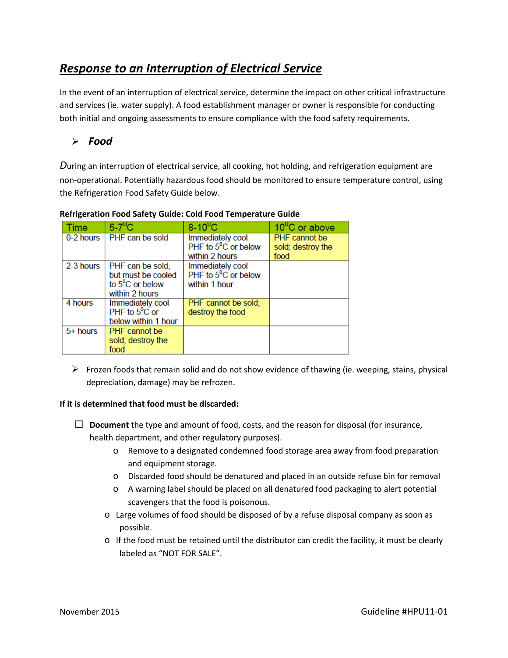# *Response to an Interruption of Electrical Service*

In the event of an interruption of electrical service, determine the impact on other critical infrastructure and services (ie. water supply). A food establishment manager or owner is responsible for conducting both initial and ongoing assessments to ensure compliance with the food safety requirements.

### *Food*

*D*uring an interruption of electrical service, all cooking, hot holding, and refrigeration equipment are non-operational. Potentially hazardous food should be monitored to ensure temperature control, using the Refrigeration Food Safety Guide below.

| Time      | $5-7$ <sup>0</sup> C                                                                  | $8-10^{0}$ C                                                        | 10 <sup>°</sup> C or above                        |
|-----------|---------------------------------------------------------------------------------------|---------------------------------------------------------------------|---------------------------------------------------|
| 0-2 hours | PHF can be sold                                                                       | Immediately cool<br>PHF to $5^{\circ}$ C or below<br>within 2 hours | <b>PHF</b> cannot be<br>sold; destroy the<br>food |
| 2-3 hours | PHF can be sold,<br>but must be cooled<br>to $5^{\circ}$ C or below<br>within 2 hours | Immediately cool<br>PHF to $5^{\circ}$ C or below<br>within 1 hour  |                                                   |
| 4 hours   | Immediately cool<br>PHF to $5^{\circ}$ C or<br>below within 1 hour                    | PHF cannot be sold;<br>destroy the food                             |                                                   |
| 5+ hours  | PHF cannot be<br>sold; destroy the<br>food                                            |                                                                     |                                                   |

#### **Refrigeration Food Safety Guide: Cold Food Temperature Guide**

 $\triangleright$  Frozen foods that remain solid and do not show evidence of thawing (ie. weeping, stains, physical depreciation, damage) may be refrozen.

#### **If it is determined that food must be discarded:**

- **Document** the type and amount of food, costs, and the reason for disposal (for insurance, health department, and other regulatory purposes).
	- o Remove to a designated condemned food storage area away from food preparation and equipment storage.
	- o Discarded food should be denatured and placed in an outside refuse bin for removal
	- o A warning label should be placed on all denatured food packaging to alert potential scavengers that the food is poisonous.
	- o Large volumes of food should be disposed of by a refuse disposal company as soon as possible.
	- $\circ$  If the food must be retained until the distributor can credit the facility, it must be clearly labeled as "NOT FOR SALE".